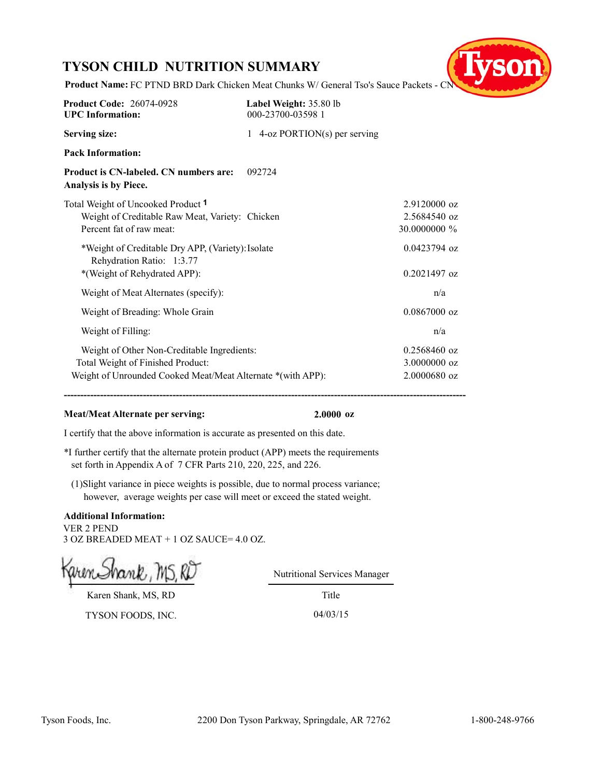## **TYSON CHILD NUTRITION SUMMARY**



**Product Name:** FC PTND BRD Dark Chicken Meat Chunks W/ General Tso's Sauce Packets - CN

| <b>Product Code: 26074-0928</b><br><b>UPC</b> Information:                                                                                      | Label Weight: 35.80 lb<br>000-23700-03598 1 |                                                  |
|-------------------------------------------------------------------------------------------------------------------------------------------------|---------------------------------------------|--------------------------------------------------|
| <b>Serving size:</b>                                                                                                                            | 1 4-oz PORTION(s) per serving               |                                                  |
| <b>Pack Information:</b>                                                                                                                        |                                             |                                                  |
| Product is CN-labeled. CN numbers are:<br>Analysis is by Piece.                                                                                 | 092724                                      |                                                  |
| Total Weight of Uncooked Product 1<br>Weight of Creditable Raw Meat, Variety: Chicken<br>Percent fat of raw meat:                               |                                             | 2.9120000 oz<br>2.5684540 oz<br>30.0000000 %     |
| *Weight of Creditable Dry APP, (Variety): Isolate<br>Rehydration Ratio: 1:3.77<br>*(Weight of Rehydrated APP):                                  |                                             | $0.0423794$ oz<br>$0.2021497$ oz                 |
| Weight of Meat Alternates (specify):                                                                                                            |                                             | n/a                                              |
| Weight of Breading: Whole Grain                                                                                                                 |                                             | $0.0867000$ oz                                   |
| Weight of Filling:                                                                                                                              |                                             | n/a                                              |
| Weight of Other Non-Creditable Ingredients:<br>Total Weight of Finished Product:<br>Weight of Unrounded Cooked Meat/Meat Alternate *(with APP): |                                             | $0.2568460$ oz<br>$3.0000000$ oz<br>2.0000680 oz |

**--------------------------------------------------------------------------------------------------------------------------**

## **Meat/Meat Alternate per serving: 2.0000 oz**

I certify that the above information is accurate as presented on this date.

\*I further certify that the alternate protein product (APP) meets the requirements set forth in Appendix A of 7 CFR Parts 210, 220, 225, and 226.

(1)Slight variance in piece weights is possible, due to normal process variance; however, average weights per case will meet or exceed the stated weight.

## **Additional Information:** VER 2 PEND 3 OZ BREADED MEAT + 1 OZ SAUCE= 4.0 OZ.

Karen Shank, MS, RD

TYSON FOODS, INC. 04/03/15

Nutritional Services Manager

Title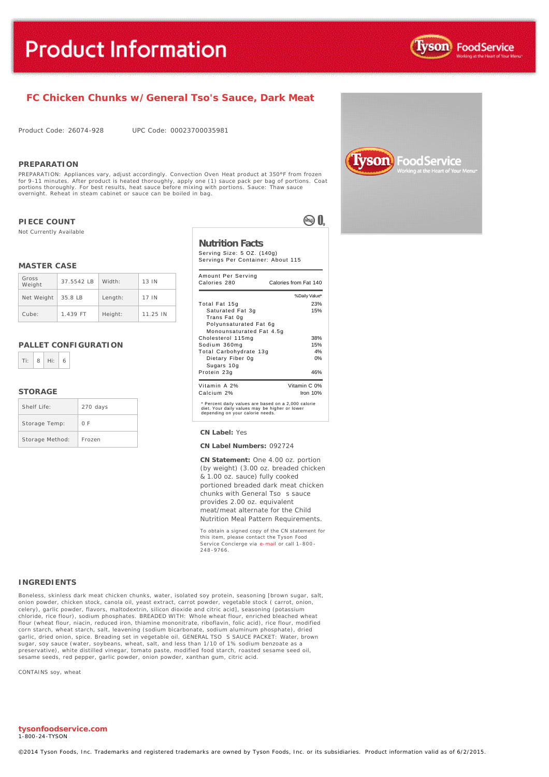

## **FC Chicken Chunks w/General Tso's Sauce, Dark Meat**

Product Code: 26074-928 UPC Code: 00023700035981

#### **PREPARATION**

PREPARATION: Appliances vary, adjust accordingly. Convection Oven Heat product at 350°F from frozen<br>for 9-11 minutes. After product is heated thoroughly, apply one (1) sauce pack per bag of portions. Co. for 9-11 minutes. After product is heated thoroughly, apply one (1) sauce pack per bag of portions. Coat<br>portions thoroughly. For best results, heat sauce before mixing with portions. Sauce: Thaw sauce<br>overnight. Reheat in

#### **PIECE COUNT**

Not Currently Available

#### **MASTER CASE**

| Gross<br>Weight | 37.5542 IB | Width:  | 13 IN    |
|-----------------|------------|---------|----------|
| Net Weight      | 35.8 LB    | Length: | 17 IN    |
| Cube:           | 1.439 FT   | Height: | 11.25 IN |

#### **PALLET CONFIGURATION**



#### **STORAGE**

| Shelf Life:     | 270 days |
|-----------------|----------|
| Storage Temp:   | 0 F      |
| Storage Method: | Frozen   |

### **Nutrition Facts**

Serving Size: 5 OZ. (140g) Servings Per Container: About 115

®0.

| Amount Per Serving<br>Calories 280                                                                                                        | Calories from Fat 140 |  |
|-------------------------------------------------------------------------------------------------------------------------------------------|-----------------------|--|
|                                                                                                                                           | % Daily Value*        |  |
| Total Fat 15g                                                                                                                             | 23%                   |  |
| Saturated Fat 3g                                                                                                                          | 15%                   |  |
| Trans Fat 0g                                                                                                                              |                       |  |
| Polyunsaturated Fat 6q                                                                                                                    |                       |  |
| Monounsaturated Fat 4.5q                                                                                                                  |                       |  |
| Cholesterol 115mg                                                                                                                         | 38%                   |  |
| Sodium 360mg                                                                                                                              | 15%                   |  |
| Total Carbohydrate 13q                                                                                                                    | 4%                    |  |
| Dietary Fiber 0g                                                                                                                          | 0%                    |  |
| Sugars 10g                                                                                                                                |                       |  |
| Protein 23g                                                                                                                               | 46%                   |  |
| Vitamin A 2%                                                                                                                              | Vitamin C 0%          |  |
| Calcium 2%                                                                                                                                | Iron $10%$            |  |
| * Percent daily values are based on a 2,000 calorie<br>diet. Your daily values may be higher or lower<br>depending on your calorie needs. |                       |  |

#### **CN Label:** Yes

#### **CN Label Numbers:** 092724

**CN Statement:** One 4.00 oz. portion (by weight) (3.00 oz. breaded chicken & 1.00 oz. sauce) fully cooked portioned breaded dark meat chicken chunks with General Tso s sauce provides 2.00 oz. equivalent meat/meat alternate for the Child Nutrition Meal Pattern Requirements.

To obtain a signed copy of the CN statement for this item, please contact the Tyson Food Service Concierge via [e-mail](mailto:fscomments@tyson.com) or call 1-800 - 248 -9766.

#### **INGREDIENTS**

Boneless, skinless dark meat chicken chunks, water, isolated soy protein, seasoning [brown sugar, salt, onion powder, chicken stock, canola oil, yeast extract, carrot powder, vegetable stock ( carrot, onion, celery), garlic powder, flavors, maltodextrin, silicon dioxide and citric acid], seasoning (potassium<br>chloride, rice flour), sodium phosphates, BREADED WITH: Whole wheat flour, enriched bleached w rice flour), sodium phosphates. BREADED WITH: Whole wheat flour, enriched bleached wheat flour (wheat flour, niacin, reduced iron, thiamine mononitrate, riboflavin, folic acid), rice flour, modified corn starch, wheat starch, salt, leavening (sodium bicarbonate, sodium aluminum phosphate), dried garlic, dried onion, spice. Breading set in vegetable oil. GENERAL TSO S SAUCE PACKET: Water, brown<br>sugar, soy sauce (water, soybeans, wheat, salt, and less than 1/10 of 1% sodium benzoate as a<br>preservative), white disti sesame seeds, red pepper, garlic powder, onion powder, xanthan gum, citric acid.

CONTAINS soy, wheat

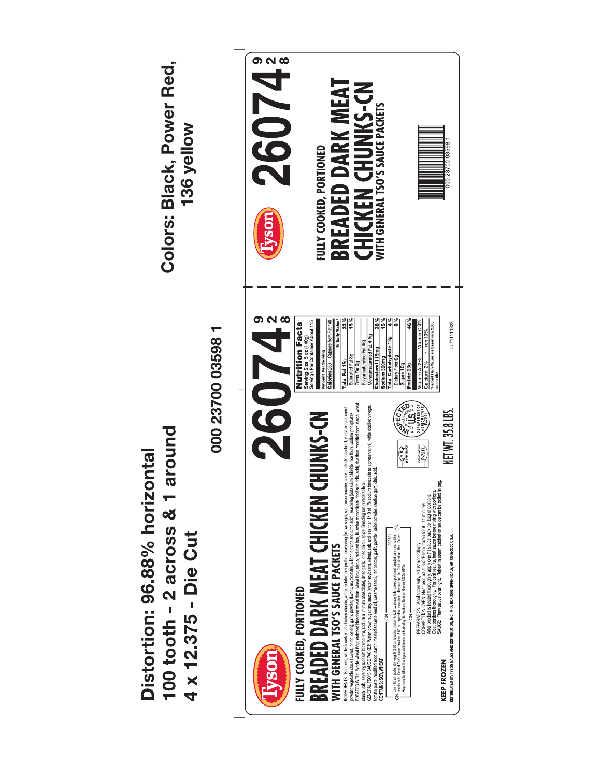| Colors: Black, Power Red,<br>136 yellow                                        | $\sigma$ $\alpha$<br>BREADED DARK MEAT<br><b>CHICKEN CHUNKS-CN</b><br>WITH GENERAL TSO'S SAUCE PACKETS<br><b>SC</b><br>000 23700 03598<br>FULLY COOKED, PORTIONED                                                                                                                                                                                                                                                                                                                                                                                                                                                                                                                                                                                                                                                                                                                                                                                                                                                                                                                                                                                                                                                                                                                                                                                                                  |
|--------------------------------------------------------------------------------|------------------------------------------------------------------------------------------------------------------------------------------------------------------------------------------------------------------------------------------------------------------------------------------------------------------------------------------------------------------------------------------------------------------------------------------------------------------------------------------------------------------------------------------------------------------------------------------------------------------------------------------------------------------------------------------------------------------------------------------------------------------------------------------------------------------------------------------------------------------------------------------------------------------------------------------------------------------------------------------------------------------------------------------------------------------------------------------------------------------------------------------------------------------------------------------------------------------------------------------------------------------------------------------------------------------------------------------------------------------------------------|
| 000 23700 03598 1<br>$\dagger$<br>around<br><b>ontal</b>                       | <u> ၈ လ ထ</u><br>23%<br>$38\%$<br>4%<br>15%<br>15%<br>៓<br>46%<br>% Daily Value*<br>Serving Size 5 oz (140g)<br>Servings Per Container About 115<br>Calories 280 Calories from Fat 140<br>$\cdot$ Vitamin C 0%<br>Percent Daily Values are based on a 2,000<br>calorie diet<br>LL#11111822<br><b>Nutrition Facts</b><br>$\cdot$  ron 10%<br>Monounsaturated Fat 4.5g<br>Total Carbohydrate 13g<br>Polyunsaturated Fat 6g<br>Cholesterol 115mg<br><b>Amount Per Serving</b><br>Saturated Fat 3g<br>Dietary Fiber 0g<br>Sodium <sub>360mg</sub><br>Vitamin A 2%<br>Total Fat 15g<br>Trans Fat Og<br>Sugars 10g<br>Protein 23g<br><b>RECTA</b><br>DEPARTMENTOF<br>VGRICULTURE<br>NET WT. 35.8 LBS<br><b>CHUNKS-CN</b><br>$\sqrt{\frac{1}{2} \frac{1}{9}}$<br>$P721J$                                                                                                                                                                                                                                                                                                                                                                                                                                                                                                                                                                                                                  |
| Distortion: 96.88% horiz<br>100 tooth - 2 across $8.1$<br>4 x 12.375 - Die Cut | INGREIBHTS, Boneless, sinhes dar med chiden churks, water isoladd soy profein, sessoning Ibrom sugar, set), onword chiden stock, cande all yeast extert, cannot<br>SPENDED WITH: While weat thus enriched beach of weat four whea<br>GENERAL TSO'S SAUCE PACKET: Water, brown sugar, soy sauce (water, soybeans, wheat, sat) and less than 1/10 of 1% sodium benzoate as a preservative), white distilled vinegar,<br>tomato paste, modified food starch, roasted sesame seed oil, sesame seeds, red pepper, garlic powder, onion powder, xanthan gurn, citric acid<br>$\ln$ bag.<br>starch, salt, leavening (sodium bicarbonate, sodium aluminum phosphate), dried garlic, dried onion, spice. Breading set in vegetable oil.<br>After product is heated thoroughly, apply one (1) sauce pack per bag of portions.<br>Coat portions thoroughly. For best results, heat sauce before mixing with portions.<br>SAUCE: Thaw sauce overnight. Reheat in steam cabinet or<br>BREADED DARK MEAT CHICKEN<br>PREPARATION: Appliances vary, adjust accordingly.<br>CONVECTION OVEN: Heat product at 350°F from frozen for 9 - 11 minutes.<br>중<br>DISTRIBUTED BY: TYSON SALES AND DISTRIBUTION, INC., P. O. BOX 2020, SPRINGDALE, AR 72765-2020 U.S.A.<br>WITH GENERAL TSO'S SAUCE PACKETS<br><b>FULLY COOKED, PORTIONED</b><br>ー<br>こう<br>3<br>CONTAINS: SOY. WHEAT<br><b>KEEP FROZEN</b> |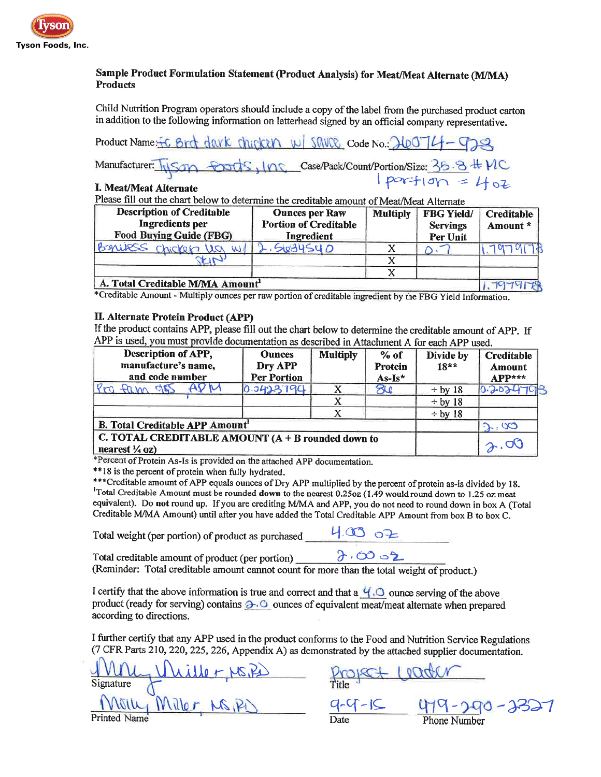

## Sample Product Formulation Statement (Product Analysis) for Meat/Meat Alternate (M/MA) **Products**

Child Nutrition Program operators should include a copy of the label from the purchased product carton in addition to the following information on letterhead signed by an official company representative.

dark chicken w/ SQUCC Code No.: 26074-928 Product Name: C Brd

 $Inc$  Case/Pack/Count/Portion/Size: 35.8 # PC Manufacturer: 15500

## I. Meat/Meat Alternate

Please fill out the chart below to determine the creditable amount of Meat/Meat Alternate

| <b>Description of Creditable</b><br><b>Ingredients per</b><br><b>Food Buying Guide (FBG)</b> | <b>Ounces per Raw</b><br><b>Portion of Creditable</b><br>Ingredient | <b>Multiply</b> | <b>FBG Yield/</b><br><b>Servings</b><br>Per Unit | Creditable<br>Amount* |
|----------------------------------------------------------------------------------------------|---------------------------------------------------------------------|-----------------|--------------------------------------------------|-----------------------|
| Bonuess chicken us w                                                                         | 5084540                                                             |                 |                                                  |                       |
|                                                                                              |                                                                     |                 |                                                  |                       |
|                                                                                              |                                                                     |                 |                                                  |                       |
| <b>A. Total Creditable M/MA Amount</b>                                                       |                                                                     |                 |                                                  |                       |

\*Creditable Amount - Multiply ounces per raw portion of creditable ingredient by the FBG Yield Information.

## II. Alternate Protein Product (APP)

If the product contains APP, please fill out the chart below to determine the creditable amount of APP. If APP is used, you must provide documentation as described in Attachment A for each APP used.

| Description of APP,<br>manufacture's name,<br>and code number                    | <b>Ounces</b><br>Dry APP<br><b>Per Portion</b> | <b>Multiply</b> | $%$ of<br>Protein<br>$As-Is*$ | Divide by<br>$18**$ | Creditable<br>Amount<br>$APP***$ |
|----------------------------------------------------------------------------------|------------------------------------------------|-----------------|-------------------------------|---------------------|----------------------------------|
| 42                                                                               | 0.0423794                                      |                 | <b>SU</b>                     | $\div$ by 18        | 0.3034702                        |
|                                                                                  |                                                | x               |                               | $\div$ by 18        |                                  |
|                                                                                  |                                                |                 |                               | $\div$ by 18        |                                  |
| <b>B. Total Creditable APP Amount<sup>1</sup></b>                                |                                                |                 |                               | $\mathbb{C}$ .      |                                  |
| C. TOTAL CREDITABLE AMOUNT $(A + B$ rounded down to<br>nearest $\frac{1}{4}$ oz) |                                                |                 |                               |                     |                                  |

\*Percent of Protein As-Is is provided on the attached APP documentation.

\*\*18 is the percent of protein when fully hydrated.

\*\*\* Creditable amount of APP equals ounces of Dry APP multiplied by the percent of protein as-is divided by 18. <sup>1</sup>Total Creditable Amount must be rounded down to the nearest 0.25oz (1.49 would round down to 1.25 oz meat equivalent). Do not round up. If you are crediting M/MA and APP, you do not need to round down in box A (Total Creditable M/MA Amount) until after you have added the Total Creditable APP Amount from box B to box C.

Total weight (per portion) of product as purchased  $4.93$ 

Total creditable amount of product (per portion)  $\partial$ . 00 **2** 

(Reminder: Total creditable amount cannot count for more than the total weight of product.)

I certify that the above information is true and correct and that a  $\frac{4}{10}$  ounce serving of the above product (ready for serving) contains  $\partial \cdot \mathcal{O}$  ounces of equivalent meat/meat alternate when prepared according to directions.

I further certify that any APP used in the product conforms to the Food and Nutrition Service Regulations (7 CFR Parts 210, 220, 225, 226, Appendix A) as demonstrated by the attached supplier documentation.

Signature

<u>Vlittler, NS, Politics Project Leader</u><br>Miller, NS, Pe) 9-9-15 479-290-2327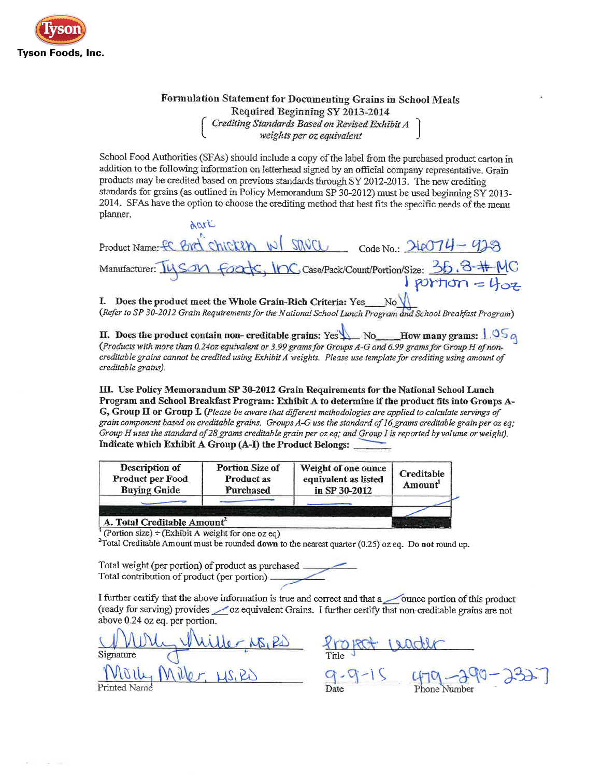

# Formulation Statement for Documenting Grains in School Meals Required Beginning SY 2013-2014<br>Crediting Standards Based on Revised Exhibit A<br>weights per oz equivalent

School Food Authorities (SFAs) should include a copy of the label from the purchased product carton in addition to the following information on letterhead signed by an official company representative. Grain products may be credited based on previous standards through SY 2012-2013. The new crediting standards for grains (as outlined in Policy Memorandum SP 30-2012) must be used beginning SY 2013-2014. SFAs have the option to choose the crediting method that best fits the specific needs of the menu planner.

Chicken W SAVCU code No.: 24074-923 Product Name: **LC** Foats, InC case/Pack/Count/Portion/Size: 35.8+ MC Manufacturer:

I. Does the product meet the Whole Grain-Rich Criteria: Yes\_ (Refer to SP 30-2012 Grain Requirements for the National School Lunch Program and School Breakfast Program)

II. Does the product contain non- creditable grains: Yes No How many grams:  $\frac{1.05}{0.05}$ (Products with more than 0.24oz equivalent or 3.99 grams for Groups A-G and 6.99 grams for Group H of noncreditable grains cannot be credited using Exhibit A weights. Please use template for crediting using amount of creditable grains).

III. Use Policy Memorandum SP 30-2012 Grain Requirements for the National School Lunch Program and School Breakfast Program: Exhibit A to determine if the product fits into Groups A-G, Group H or Group I. (Please be aware that different methodologies are applied to calculate servings of grain component based on creditable grains. Groups A-G use the standard of 16 grams creditable grain per oz eq; Group H uses the standard of 28 grams creditable grain per oz eq; and Group I is reported by volume or weight). Indicate which Exhibit A Group (A-I) the Product Belongs:

| Description of<br>Product per Food<br><b>Buying Guide</b> | Portion Size of<br><b>Product as</b><br>Purchased | Weight of one ounce<br>equivalent as listed<br>in SP 30-2012 | <b>Creditable</b><br>Amount |
|-----------------------------------------------------------|---------------------------------------------------|--------------------------------------------------------------|-----------------------------|
| A. Total Creditable Amount <sup>2</sup>                   |                                                   |                                                              |                             |

<sup>1</sup> (Portion size) ÷ (Exhibit A weight for one oz eq)

<sup>2</sup>Total Creditable Amount must be rounded down to the nearest quarter (0.25) oz eq. Do not round up.

Total weight (per portion) of product as purchased. Total contribution of product (per portion)

I further certify that the above information is true and correct and that a ounce portion of this product (ready for serving) provides <u>our</u> oz equivalent Grains. I further certify that non-creditable grains are not above 0.24 oz eq. per portion.

 $\frac{u_{0}u_{0}}{1}$   $\frac{20000}{1}$   $\frac{20000}{1}$   $\frac{400}{1}$   $\frac{40}{1}$   $\frac{290}{1}$   $\frac{290}{1}$   $\frac{40}{1}$   $\frac{290}{1}$   $\frac{290}{1}$   $\frac{290}{1}$